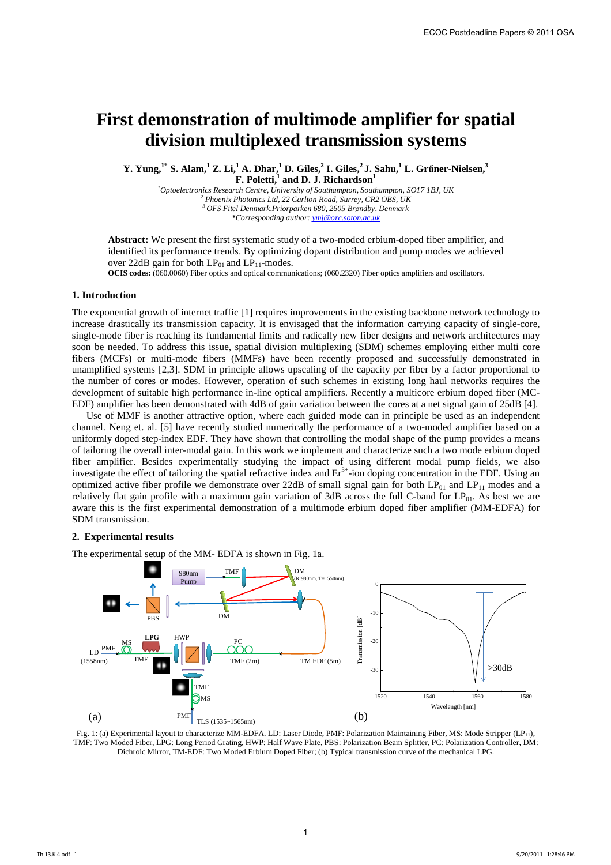# **First demonstration of multimode amplifier for spatial division multiplexed transmission systems**

**Y. Yung,1\* S. Alam,<sup>1</sup> Z. Li,<sup>1</sup> A. Dhar,<sup>1</sup> D. Giles,<sup>2</sup> I. Giles,<sup>2</sup>J. Sahu,<sup>1</sup> L. Grűner-Nielsen,<sup>3</sup> F. Poletti,<sup>1</sup> and D. J. Richardson<sup>1</sup>**

*Optoelectronics Research Centre, University of Southampton, Southampton, SO17 1BJ, UK Phoenix Photonics Ltd, 22 Carlton Road, Surrey, CR2 OBS, UK OFS Fitel Denmark,Priorparken 680, 2605 Brøndby, Denmark \*Corresponding author: ymj@orc.soton.ac.uk* 

**Abstract:** We present the first systematic study of a two-moded erbium-doped fiber amplifier, and identified its performance trends. By optimizing dopant distribution and pump modes we achieved over 22dB gain for both  $LP_{01}$  and  $LP_{11}$ -modes.

**OCIS codes:** (060.0060) Fiber optics and optical communications; (060.2320) Fiber optics amplifiers and oscillators.

# **1. Introduction**

The exponential growth of internet traffic [1] requires improvements in the existing backbone network technology to increase drastically its transmission capacity. It is envisaged that the information carrying capacity of single-core, single-mode fiber is reaching its fundamental limits and radically new fiber designs and network architectures may soon be needed. To address this issue, spatial division multiplexing (SDM) schemes employing either multi core fibers (MCFs) or multi-mode fibers (MMFs) have been recently proposed and successfully demonstrated in unamplified systems [2,3]. SDM in principle allows upscaling of the capacity per fiber by a factor proportional to the number of cores or modes. However, operation of such schemes in existing long haul networks requires the development of suitable high performance in-line optical amplifiers. Recently a multicore erbium doped fiber (MC-EDF) amplifier has been demonstrated with 4dB of gain variation between the cores at a net signal gain of 25dB [4].

Use of MMF is another attractive option, where each guided mode can in principle be used as an independent channel. Neng et. al. [5] have recently studied numerically the performance of a two-moded amplifier based on a uniformly doped step-index EDF. They have shown that controlling the modal shape of the pump provides a means of tailoring the overall inter-modal gain. In this work we implement and characterize such a two mode erbium doped fiber amplifier. Besides experimentally studying the impact of using different modal pump fields, we also investigate the effect of tailoring the spatial refractive index and  $Er<sup>3+</sup>$ -ion doping concentration in the EDF. Using an optimized active fiber profile we demonstrate over 22dB of small signal gain for both  $LP_{01}$  and  $LP_{11}$  modes and a relatively flat gain profile with a maximum gain variation of 3dB across the full C-band for LP<sub>01</sub>. As best we are aware this is the first experimental demonstration of a multimode erbium doped fiber amplifier (MM-EDFA) for SDM transmission.

## **2. Experimental results**

The experimental setup of the MM- EDFA is shown in Fig. 1a.



Fig. 1: (a) Experimental layout to characterize MM-EDFA. LD: Laser Diode, PMF: Polarization Maintaining Fiber, MS: Mode Stripper (LP11), TMF: Two Moded Fiber, LPG: Long Period Grating, HWP: Half Wave Plate, PBS: Polarization Beam Splitter, PC: Polarization Controller, DM: Dichroic Mirror, TM-EDF: Two Moded Erbium Doped Fiber; (b) Typical transmission curve of the mechanical LPG.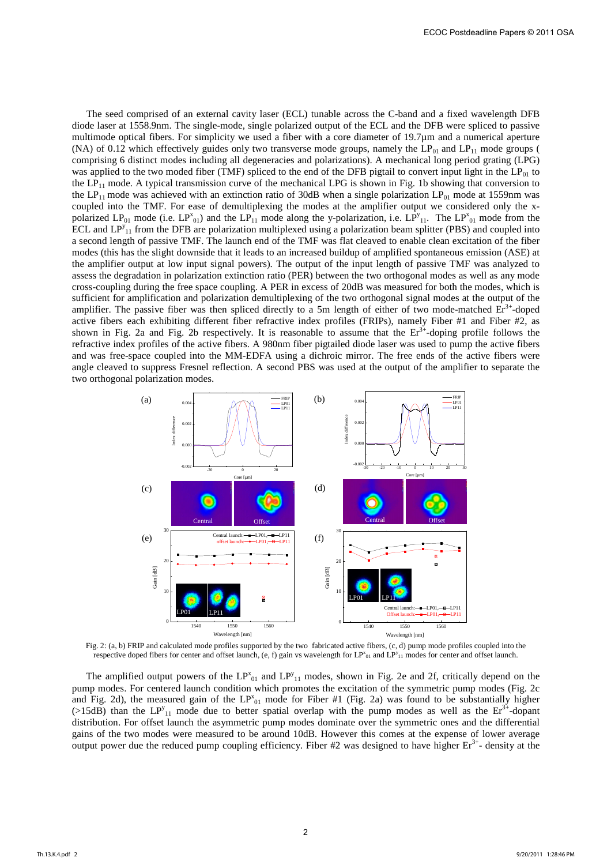The seed comprised of an external cavity laser (ECL) tunable across the C-band and a fixed wavelength DFB diode laser at 1558.9nm. The single-mode, single polarized output of the ECL and the DFB were spliced to passive multimode optical fibers. For simplicity we used a fiber with a core diameter of 19.7µm and a numerical aperture (NA) of 0.12 which effectively guides only two transverse mode groups, namely the  $LP_{01}$  and  $LP_{11}$  mode groups ( comprising 6 distinct modes including all degeneracies and polarizations). A mechanical long period grating (LPG) was applied to the two moded fiber (TMF) spliced to the end of the DFB pigtail to convert input light in the  $LP_{01}$  to the  $LP_{11}$  mode. A typical transmission curve of the mechanical LPG is shown in Fig. 1b showing that conversion to the LP<sub>11</sub> mode was achieved with an extinction ratio of 30dB when a single polarization LP<sub>01</sub> mode at 1559nm was coupled into the TMF. For ease of demultiplexing the modes at the amplifier output we considered only the xpolarized  $LP_{01}$  mode (i.e.  $LP_{01}^x$ ) and the  $LP_{11}^x$  mode along the y-polarization, i.e.  $LP_{11}^y$ . The  $LP_{01}^x$  mode from the ECL and  $LP_{11}^{\gamma}$  from the DFB are polarization multiplexed using a polarization beam splitter (PBS) and coupled into a second length of passive TMF. The launch end of the TMF was flat cleaved to enable clean excitation of the fiber modes (this has the slight downside that it leads to an increased buildup of amplified spontaneous emission (ASE) at the amplifier output at low input signal powers). The output of the input length of passive TMF was analyzed to assess the degradation in polarization extinction ratio (PER) between the two orthogonal modes as well as any mode cross-coupling during the free space coupling. A PER in excess of 20dB was measured for both the modes, which is sufficient for amplification and polarization demultiplexing of the two orthogonal signal modes at the output of the amplifier. The passive fiber was then spliced directly to a 5m length of either of two mode-matched  $Er^{3+}$ -doped active fibers each exhibiting different fiber refractive index profiles (FRIPs), namely Fiber #1 and Fiber #2, as shown in Fig. 2a and Fig. 2b respectively. It is reasonable to assume that the  $Er^{3+}$ -doping profile follows the refractive index profiles of the active fibers. A 980nm fiber pigtailed diode laser was used to pump the active fibers and was free-space coupled into the MM-EDFA using a dichroic mirror. The free ends of the active fibers were angle cleaved to suppress Fresnel reflection. A second PBS was used at the output of the amplifier to separate the two orthogonal polarization modes.



Fig. 2: (a, b) FRIP and calculated mode profiles supported by the two fabricated active fibers, (c, d) pump mode profiles coupled into the respective doped fibers for center and offset launch, (e, f) gain vs wavelength for  $LP_{11}^x$  and  $LP_{11}^y$  modes for center and offset launch.

The amplified output powers of the  $LP_{01}^x$  and  $LP_{11}^y$  modes, shown in Fig. 2e and 2f, critically depend on the pump modes. For centered launch condition which promotes the excitation of the symmetric pump modes (Fig. 2c and Fig. 2d), the measured gain of the  $LP_{01}^x$  mode for Fiber #1 (Fig. 2a) was found to be substantially higher (>15dB) than the  $LP_{11}^y$  mode due to better spatial overlap with the pump modes as well as the  $Er^{3+}$ -dopant distribution. For offset launch the asymmetric pump modes dominate over the symmetric ones and the differential gains of the two modes were measured to be around 10dB. However this comes at the expense of lower average output power due the reduced pump coupling efficiency. Fiber #2 was designed to have higher  $Er<sup>3+</sup>$ - density at the